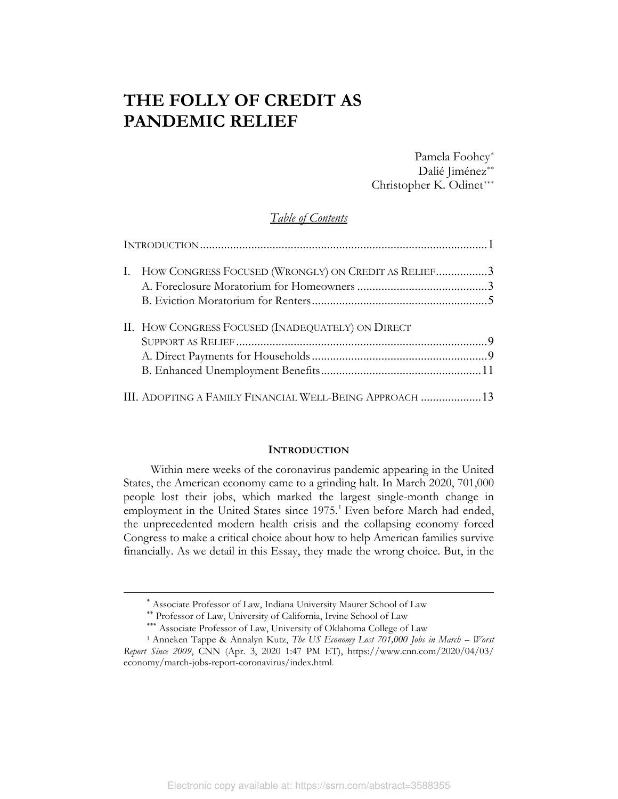# **THE FOLLY OF CREDIT AS PANDEMIC RELIEF**

Pamela Foohey[\\*](#page-0-1) Dalié Jiménez[\\*\\*](#page-0-2) Christopher K. Odinet[\\*\\*\\*](#page-0-3)

# *Table of Contents*

|  | I. HOW CONGRESS FOCUSED (WRONGLY) ON CREDIT AS RELIEF3  |  |
|--|---------------------------------------------------------|--|
|  |                                                         |  |
|  | II. HOW CONGRESS FOCUSED (INADEQUATELY) ON DIRECT       |  |
|  |                                                         |  |
|  |                                                         |  |
|  | III. ADOPTING A FAMILY FINANCIAL WELL-BEING APPROACH 13 |  |

# **INTRODUCTION**

<span id="page-0-0"></span>Within mere weeks of the coronavirus pandemic appearing in the United States, the American economy came to a grinding halt. In March 2020, 701,000 people lost their jobs, which marked the largest single-month change in employment in the United States since [1](#page-0-4)975.<sup>1</sup> Even before March had ended, the unprecedented modern health crisis and the collapsing economy forced Congress to make a critical choice about how to help American families survive financially. As we detail in this Essay, they made the wrong choice. But, in the

<sup>\*</sup> Associate Professor of Law, Indiana University Maurer School of Law

<sup>\*\*</sup> Professor of Law, University of California, Irvine School of Law

<sup>\*\*\*</sup> Associate Professor of Law, University of Oklahoma College of Law

<span id="page-0-4"></span><span id="page-0-3"></span><span id="page-0-2"></span><span id="page-0-1"></span><sup>1</sup> Anneken Tappe & Annalyn Kutz, *The US Economy Lost 701,000 Jobs in March -- Worst Report Since 2009*, CNN (Apr. 3, 2020 1:47 PM ET), https://www.cnn.com/2020/04/03/ economy/march-jobs-report-coronavirus/index.html.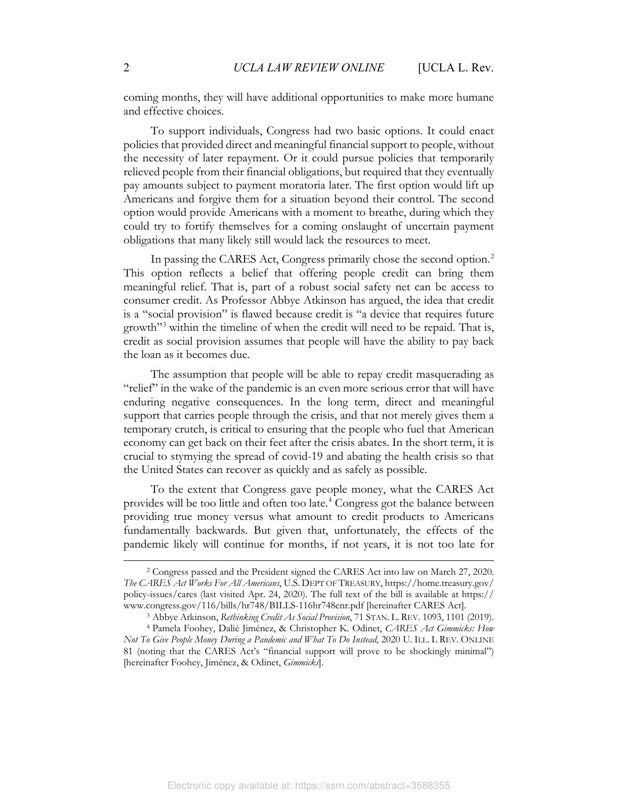coming months, they will have additional opportunities to make more humane and effective choices.

To support individuals, Congress had two basic options. It could enact policies that provided direct and meaningful financial support to people, without the necessity of later repayment. Or it could pursue policies that temporarily relieved people from their financial obligations, but required that they eventually pay amounts subject to payment moratoria later. The first option would lift up Americans and forgive them for a situation beyond their control. The second option would provide Americans with a moment to breathe, during which they could try to fortify themselves for a coming onslaught of uncertain payment obligations that many likely still would lack the resources to meet.

In passing the CARES Act, Congress primarily chose the second option.<sup>[2](#page-1-0)</sup> This option reflects a belief that offering people credit can bring them meaningful relief. That is, part of a robust social safety net can be access to consumer credit. As Professor Abbye Atkinson has argued, the idea that credit is a "social provision" is flawed because credit is "a device that requires future growth<sup>"[3](#page-1-1)</sup> within the timeline of when the credit will need to be repaid. That is, credit as social provision assumes that people will have the ability to pay back the loan as it becomes due.

<span id="page-1-3"></span>The assumption that people will be able to repay credit masquerading as "relief" in the wake of the pandemic is an even more serious error that will have enduring negative consequences. In the long term, direct and meaningful support that carries people through the crisis, and that not merely gives them a temporary crutch, is critical to ensuring that the people who fuel that American economy can get back on their feet after the crisis abates. In the short term, it is crucial to stymying the spread of covid-19 and abating the health crisis so that the United States can recover as quickly and as safely as possible.

<span id="page-1-4"></span>To the extent that Congress gave people money, what the CARES Act provides will be too little and often too late.[4](#page-1-2) Congress got the balance between providing true money versus what amount to credit products to Americans fundamentally backwards. But given that, unfortunately, the effects of the pandemic likely will continue for months, if not years, it is not too late for

<span id="page-1-0"></span><sup>2</sup> Congress passed and the President signed the CARES Act into law on March 27, 2020. *The CARES Act Works For All Americans*, U.S. DEPT OF TREASURY, https://home.treasury.gov/ policy-issues/cares (last visited Apr. 24, 2020). The full text of the bill is available at https:// www.congress.gov/116/bills/hr748/BILLS-116hr748enr.pdf [hereinafter CARES Act].

<sup>3</sup> Abbye Atkinson, *Rethinking Credit As Social Provision*, 71 STAN. L. REV. 1093, 1101 (2019).

<span id="page-1-2"></span><span id="page-1-1"></span><sup>4</sup> Pamela Foohey, Dalié Jiménez, & Christopher K. Odinet, *CARES Act Gimmicks: How Not To Give People Money During a Pandemic and What To Do Instead*, 2020 U. ILL. L REV. ONLINE 81 (noting that the CARES Act's "financial support will prove to be shockingly minimal") [hereinafter Foohey, Jiménez, & Odinet, *Gimmicks*].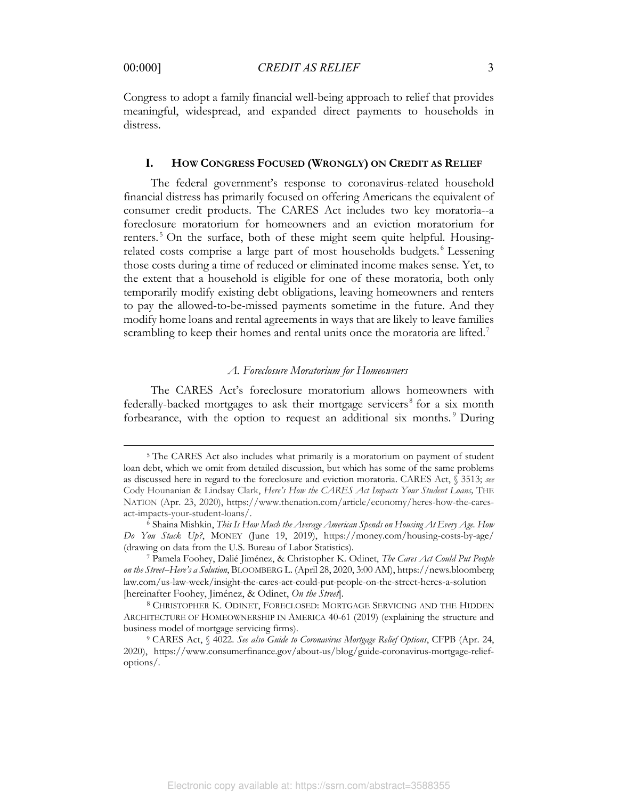Congress to adopt a family financial well-being approach to relief that provides meaningful, widespread, and expanded direct payments to households in distress.

#### <span id="page-2-0"></span>**I. HOW CONGRESS FOCUSED (WRONGLY) ON CREDIT AS RELIEF**

The federal government's response to coronavirus-related household financial distress has primarily focused on offering Americans the equivalent of consumer credit products. The CARES Act includes two key moratoria--a foreclosure moratorium for homeowners and an eviction moratorium for renters.<sup>[5](#page-2-2)</sup> On the surface, both of these might seem quite helpful. Housing-related costs comprise a large part of most households budgets.<sup>[6](#page-2-3)</sup> Lessening those costs during a time of reduced or eliminated income makes sense. Yet, to the extent that a household is eligible for one of these moratoria, both only temporarily modify existing debt obligations, leaving homeowners and renters to pay the allowed-to-be-missed payments sometime in the future. And they modify home loans and rental agreements in ways that are likely to leave families scrambling to keep their homes and rental units once the moratoria are lifted.<sup>[7](#page-2-4)</sup>

## <span id="page-2-8"></span><span id="page-2-7"></span>*A. Foreclosure Moratorium for Homeowners*

<span id="page-2-1"></span>The CARES Act's foreclosure moratorium allows homeowners with federally-backed mortgages to ask their mortgage servicers<sup>[8](#page-2-5)</sup> for a six month forbearance, with the option to request an additional six months.<sup>[9](#page-2-6)</sup> During

<span id="page-2-2"></span><sup>&</sup>lt;sup>5</sup> The CARES Act also includes what primarily is a moratorium on payment of student loan debt, which we omit from detailed discussion, but which has some of the same problems as discussed here in regard to the foreclosure and eviction moratoria. CARES Act, § 3513; *see*  Cody Hounanian & Lindsay Clark, *Here's How the CARES Act Impacts Your Student Loans,* THE NATION (Apr. 23, 2020), https://www.thenation.com/article/economy/heres-how-the-caresact-impacts-your-student-loans/.

<span id="page-2-3"></span><sup>6</sup> Shaina Mishkin, *This Is How Much the Average American Spends on Housing At Every Age. How Do You Stack Up?*, MONEY (June 19, 2019), https://money.com/housing-costs-by-age/ (drawing on data from the U.S. Bureau of Labor Statistics).

<span id="page-2-4"></span><sup>7</sup> Pamela Foohey, Dalié Jiménez, & Christopher K. Odinet, *The Cares Act Could Put People on the Street--Here's a Solution*, BLOOMBERG L. (April 28, 2020, 3:00 AM), https://news.bloomberg law.com/us-law-week/insight-the-cares-act-could-put-people-on-the-street-heres-a-solution [hereinafter Foohey, Jiménez, & Odinet, *On the Street*].

<span id="page-2-5"></span><sup>8</sup> CHRISTOPHER K. ODINET, FORECLOSED: MORTGAGE SERVICING AND THE HIDDEN ARCHITECTURE OF HOMEOWNERSHIP IN AMERICA 40-61 (2019) (explaining the structure and business model of mortgage servicing firms).

<span id="page-2-6"></span><sup>9</sup> CARES Act, § 4022. *See also Guide to Coronavirus Mortgage Relief Options*, CFPB (Apr. 24, 2020), https://www.consumerfinance.gov/about-us/blog/guide-coronavirus-mortgage-reliefoptions/.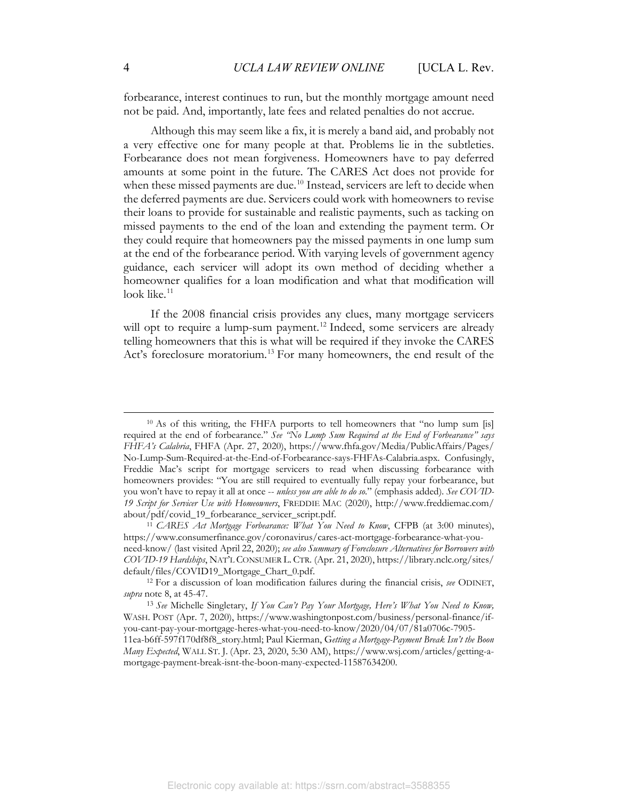forbearance, interest continues to run, but the monthly mortgage amount need not be paid. And, importantly, late fees and related penalties do not accrue.

Although this may seem like a fix, it is merely a band aid, and probably not a very effective one for many people at that. Problems lie in the subtleties. Forbearance does not mean forgiveness. Homeowners have to pay deferred amounts at some point in the future. The CARES Act does not provide for when these missed payments are due.<sup>[10](#page-3-0)</sup> Instead, servicers are left to decide when the deferred payments are due. Servicers could work with homeowners to revise their loans to provide for sustainable and realistic payments, such as tacking on missed payments to the end of the loan and extending the payment term. Or they could require that homeowners pay the missed payments in one lump sum at the end of the forbearance period. With varying levels of government agency guidance, each servicer will adopt its own method of deciding whether a homeowner qualifies for a loan modification and what that modification will look like.<sup>[11](#page-3-1)</sup>

If the 2008 financial crisis provides any clues, many mortgage servicers will opt to require a lump-sum payment.<sup>[12](#page-3-2)</sup> Indeed, some servicers are already telling homeowners that this is what will be required if they invoke the CARES Act's foreclosure moratorium.<sup>[13](#page-3-3)</sup> For many homeowners, the end result of the

<span id="page-3-0"></span><sup>&</sup>lt;sup>10</sup> As of this writing, the FHFA purports to tell homeowners that "no lump sum [is] required at the end of forbearance." *See "No Lump Sum Required at the End of Forbearance" says FHFA's Calabria*, FHFA (Apr. 27, 2020), https://www.fhfa.gov/Media/PublicAffairs/Pages/ No-Lump-Sum-Required-at-the-End-of-Forbearance-says-FHFAs-Calabria.aspx. Confusingly, Freddie Mac's script for mortgage servicers to read when discussing forbearance with homeowners provides: "You are still required to eventually fully repay your forbearance, but you won't have to repay it all at once -- *unless you are able to do so*." (emphasis added). *See COVID-19 Script for Servicer Use with Homeowners*, FREDDIE MAC (2020), http://www.freddiemac.com/ about/pdf/covid\_19\_forbearance\_servicer\_script.pdf.

<span id="page-3-1"></span><sup>11</sup> *CARES Act Mortgage Forbearance: What You Need to Know*, CFPB (at 3:00 minutes), https://www.consumerfinance.gov/coronavirus/cares-act-mortgage-forbearance-what-youneed-know/ (last visited April 22, 2020); *see also Summary of Foreclosure Alternatives for Borrowers with COVID-19 Hardships*, NAT'L CONSUMER L. CTR. (Apr. 21, 2020), https://library.nclc.org/sites/ default/files/COVID19\_Mortgage\_Chart\_0.pdf.

<span id="page-3-2"></span><sup>12</sup> For a discussion of loan modification failures during the financial crisis, *see* ODINET, *supra* note [8,](#page-2-7) at 45-47.

<span id="page-3-3"></span><sup>13</sup> *See* Michelle Singletary, *If You Can't Pay Your Mortgage, Here's What You Need to Know,*  WASH. POST (Apr. 7, 2020), https://www.washingtonpost.com/business/personal-finance/ifyou-cant-pay-your-mortgage-heres-what-you-need-to-know/2020/04/07/81a0706c-7905-

<sup>11</sup>ea-b6ff-597f170df8f8\_story.html; Paul Kierman, G*etting a Mortgage-Payment Break Isn't the Boon Many Expected*, WALL ST. J. (Apr. 23, 2020, 5:30 AM), https://www.wsj.com/articles/getting-amortgage-payment-break-isnt-the-boon-many-expected-11587634200.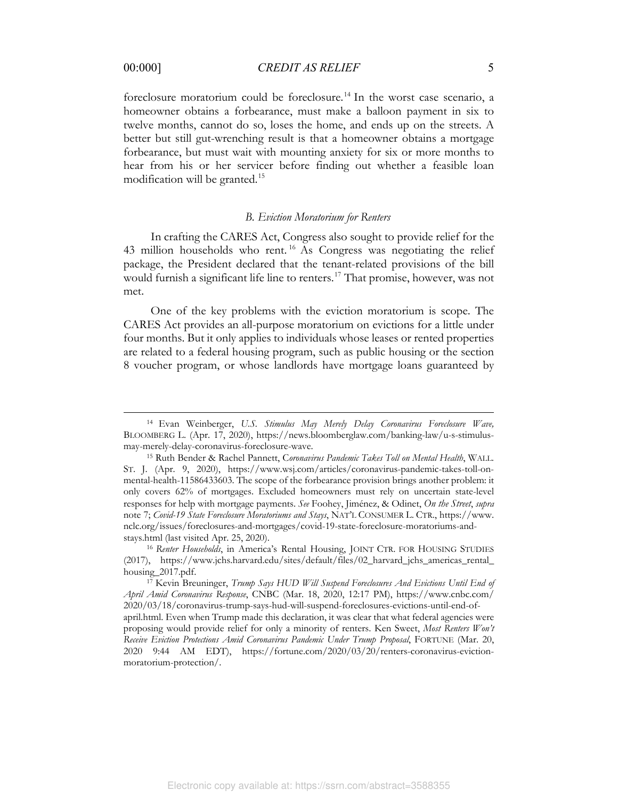foreclosure moratorium could be foreclosure.<sup>[14](#page-4-1)</sup> In the worst case scenario, a homeowner obtains a forbearance, must make a balloon payment in six to

twelve months, cannot do so, loses the home, and ends up on the streets. A better but still gut-wrenching result is that a homeowner obtains a mortgage forbearance, but must wait with mounting anxiety for six or more months to hear from his or her servicer before finding out whether a feasible loan modification will be granted.<sup>[15](#page-4-2)</sup>

#### *B. Eviction Moratorium for Renters*

<span id="page-4-0"></span>In crafting the CARES Act, Congress also sought to provide relief for the 43 million households who rent.<sup>[16](#page-4-3)</sup> As Congress was negotiating the relief package, the President declared that the tenant-related provisions of the bill would furnish a significant life line to renters.<sup>[17](#page-4-4)</sup> That promise, however, was not met.

One of the key problems with the eviction moratorium is scope. The CARES Act provides an all-purpose moratorium on evictions for a little under four months. But it only applies to individuals whose leases or rented properties are related to a federal housing program, such as public housing or the section 8 voucher program, or whose landlords have mortgage loans guaranteed by

<span id="page-4-1"></span><sup>14</sup> Evan Weinberger, *U.S. Stimulus May Merely Delay Coronavirus Foreclosure Wave,* BLOOMBERG L. (Apr. 17, 2020), https://news.bloomberglaw.com/banking-law/u-s-stimulusmay-merely-delay-coronavirus-foreclosure-wave.

<span id="page-4-2"></span><sup>15</sup> Ruth Bender & Rachel Pannett, C*oronavirus Pandemic Takes Toll on Mental Health*, WALL. ST. J. (Apr. 9, 2020), https://www.wsj.com/articles/coronavirus-pandemic-takes-toll-onmental-health-11586433603. The scope of the forbearance provision brings another problem: it only covers 62% of mortgages. Excluded homeowners must rely on uncertain state-level responses for help with mortgage payments. *See* Foohey, Jiménez, & Odinet, *On the Street*, *supra*  note [7;](#page-2-8) *Covid-19 State Foreclosure Moratoriums and Stays*, NAT'L CONSUMER L. CTR., https://www. nclc.org/issues/foreclosures-and-mortgages/covid-19-state-foreclosure-moratoriums-andstays.html (last visited Apr. 25, 2020).

<span id="page-4-3"></span><sup>16</sup> *Renter Households*, in America's Rental Housing, JOINT CTR. FOR HOUSING STUDIES (2017), https://www.jchs.harvard.edu/sites/default/files/02\_harvard\_jchs\_americas\_rental\_ housing\_2017.pdf.

<span id="page-4-4"></span><sup>17</sup> Kevin Breuninger, *Trump Says HUD Will Suspend Foreclosures And Evictions Until End of April Amid Coronavirus Response*, CNBC (Mar. 18, 2020, 12:17 PM), https://www.cnbc.com/ 2020/03/18/coronavirus-trump-says-hud-will-suspend-foreclosures-evictions-until-end-ofapril.html. Even when Trump made this declaration, it was clear that what federal agencies were proposing would provide relief for only a minority of renters. Ken Sweet, *Most Renters Won't Receive Eviction Protections Amid Coronavirus Pandemic Under Trump Proposal*, FORTUNE (Mar. 20, 2020 9:44 AM EDT), https://fortune.com/2020/03/20/renters-coronavirus-evictionmoratorium-protection/.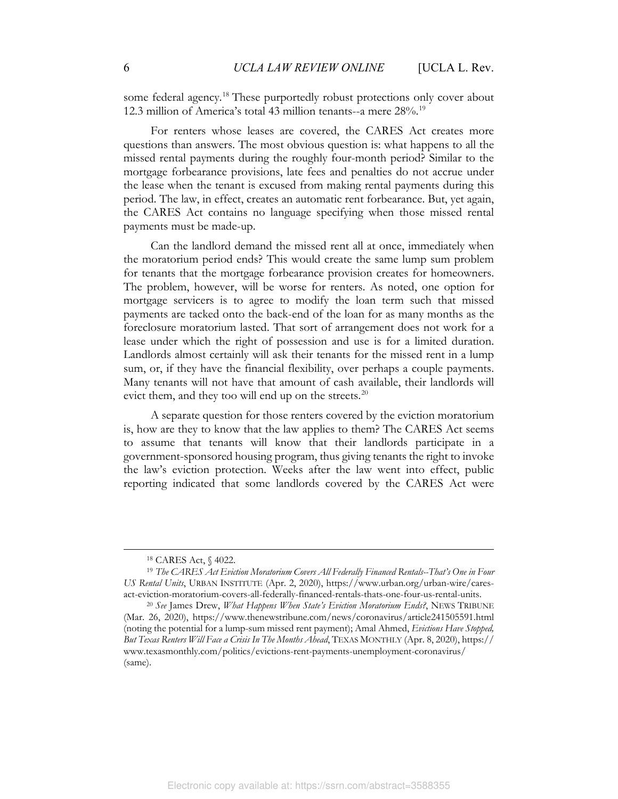some federal agency.<sup>[18](#page-5-0)</sup> These purportedly robust protections only cover about 12.3 million of America's total 43 million tenants--a mere 28%.[19](#page-5-1)

For renters whose leases are covered, the CARES Act creates more questions than answers. The most obvious question is: what happens to all the missed rental payments during the roughly four-month period? Similar to the mortgage forbearance provisions, late fees and penalties do not accrue under the lease when the tenant is excused from making rental payments during this period. The law, in effect, creates an automatic rent forbearance. But, yet again, the CARES Act contains no language specifying when those missed rental payments must be made-up.

Can the landlord demand the missed rent all at once, immediately when the moratorium period ends? This would create the same lump sum problem for tenants that the mortgage forbearance provision creates for homeowners. The problem, however, will be worse for renters. As noted, one option for mortgage servicers is to agree to modify the loan term such that missed payments are tacked onto the back-end of the loan for as many months as the foreclosure moratorium lasted. That sort of arrangement does not work for a lease under which the right of possession and use is for a limited duration. Landlords almost certainly will ask their tenants for the missed rent in a lump sum, or, if they have the financial flexibility, over perhaps a couple payments. Many tenants will not have that amount of cash available, their landlords will evict them, and they too will end up on the streets. $^{20}$  $^{20}$  $^{20}$ 

A separate question for those renters covered by the eviction moratorium is, how are they to know that the law applies to them? The CARES Act seems to assume that tenants will know that their landlords participate in a government-sponsored housing program, thus giving tenants the right to invoke the law's eviction protection. Weeks after the law went into effect, public reporting indicated that some landlords covered by the CARES Act were

<sup>18</sup> CARES Act, § 4022.

<span id="page-5-1"></span><span id="page-5-0"></span><sup>19</sup> *The CARES Act Eviction Moratorium Covers All Federally Financed Rentals--That's One in Four US Rental Units*, URBAN INSTITUTE (Apr. 2, 2020), https://www.urban.org/urban-wire/caresact-eviction-moratorium-covers-all-federally-financed-rentals-thats-one-four-us-rental-units.

<span id="page-5-2"></span><sup>20</sup> *See* James Drew, *What Happens When State's Eviction Moratorium Ends?*, NEWS TRIBUNE (Mar. 26, 2020), https://www.thenewstribune.com/news/coronavirus/article241505591.html (noting the potential for a lump-sum missed rent payment); Amal Ahmed, *Evictions Have Stopped, But Texas Renters Will Face a Crisis In The Months Ahead*, TEXAS MONTHLY (Apr. 8, 2020), https:// www.texasmonthly.com/politics/evictions-rent-payments-unemployment-coronavirus/ (same).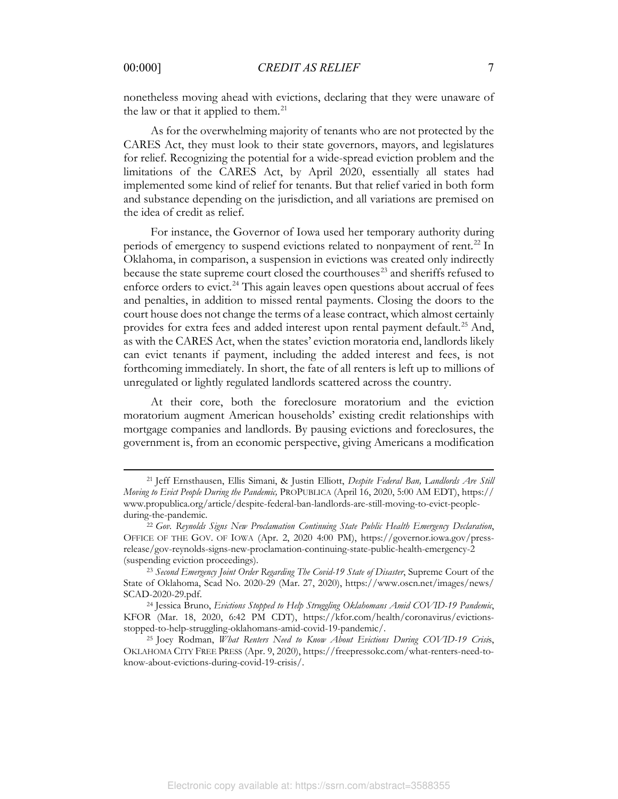nonetheless moving ahead with evictions, declaring that they were unaware of the law or that it applied to them. $^{21}$  $^{21}$  $^{21}$ 

As for the overwhelming majority of tenants who are not protected by the CARES Act, they must look to their state governors, mayors, and legislatures for relief. Recognizing the potential for a wide-spread eviction problem and the limitations of the CARES Act, by April 2020, essentially all states had implemented some kind of relief for tenants. But that relief varied in both form and substance depending on the jurisdiction, and all variations are premised on the idea of credit as relief.

For instance, the Governor of Iowa used her temporary authority during periods of emergency to suspend evictions related to nonpayment of rent.<sup>[22](#page-6-1)</sup> In Oklahoma, in comparison, a suspension in evictions was created only indirectly because the state supreme court closed the courthouses<sup>[23](#page-6-2)</sup> and sheriffs refused to enforce orders to evict.<sup>[24](#page-6-3)</sup> This again leaves open questions about accrual of fees and penalties, in addition to missed rental payments. Closing the doors to the court house does not change the terms of a lease contract, which almost certainly provides for extra fees and added interest upon rental payment default.<sup>[25](#page-6-4)</sup> And, as with the CARES Act, when the states' eviction moratoria end, landlords likely can evict tenants if payment, including the added interest and fees, is not forthcoming immediately. In short, the fate of all renters is left up to millions of unregulated or lightly regulated landlords scattered across the country.

At their core, both the foreclosure moratorium and the eviction moratorium augment American households' existing credit relationships with mortgage companies and landlords. By pausing evictions and foreclosures, the government is, from an economic perspective, giving Americans a modification

<span id="page-6-0"></span><sup>21</sup> Jeff Ernsthausen, Ellis Simani, & Justin Elliott, *Despite Federal Ban,* L*andlords Are Still Moving to Evict People During the Pandemic,* PROPUBLICA (April 16, 2020, 5:00 AM EDT), https:// www.propublica.org/article/despite-federal-ban-landlords-are-still-moving-to-evict-peopleduring-the-pandemic.

<span id="page-6-1"></span><sup>22</sup> *Gov. Reynolds Signs New Proclamation Continuing State Public Health Emergency Declaration*, OFFICE OF THE GOV. OF IOWA (Apr. 2, 2020 4:00 PM), https://governor.iowa.gov/pressrelease/gov-reynolds-signs-new-proclamation-continuing-state-public-health-emergency-2 (suspending eviction proceedings).

<span id="page-6-2"></span><sup>23</sup> *Second Emergency Joint Order Regarding The Covid-19 State of Disaster*, Supreme Court of the State of Oklahoma, Scad No. 2020-29 (Mar. 27, 2020), https://www.oscn.net/images/news/ SCAD-2020-29.pdf.

<span id="page-6-3"></span><sup>24</sup> Jessica Bruno, *Evictions Stopped to Help Struggling Oklahomans Amid COVID-19 Pandemic*, KFOR (Mar. 18, 2020, 6:42 PM CDT), https://kfor.com/health/coronavirus/evictionsstopped-to-help-struggling-oklahomans-amid-covid-19-pandemic/.

<span id="page-6-4"></span><sup>25</sup> Joey Rodman, *What Renters Need to Know About Evictions During COVID-19 Crisi*s, OKLAHOMA CITY FREE PRESS (Apr. 9, 2020), https://freepressokc.com/what-renters-need-toknow-about-evictions-during-covid-19-crisis/.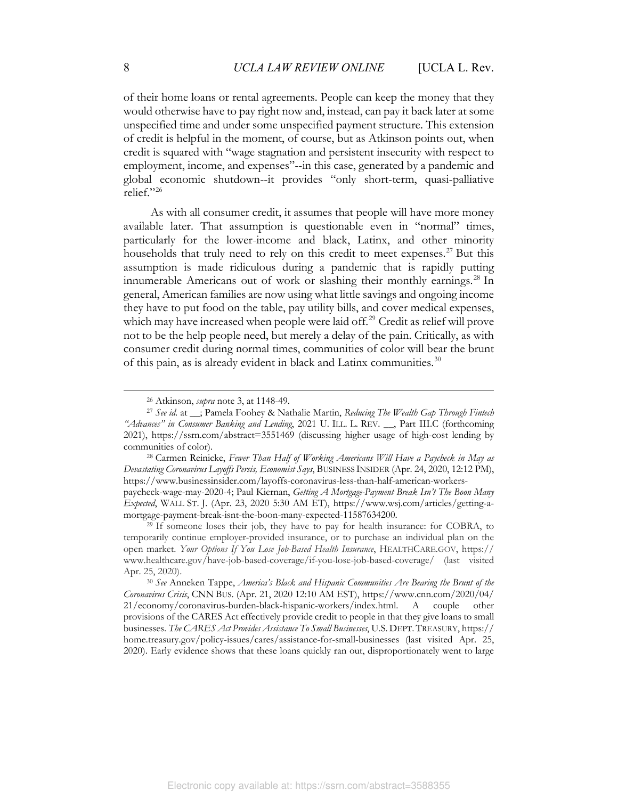of their home loans or rental agreements. People can keep the money that they would otherwise have to pay right now and, instead, can pay it back later at some unspecified time and under some unspecified payment structure. This extension of credit is helpful in the moment, of course, but as Atkinson points out, when credit is squared with "wage stagnation and persistent insecurity with respect to employment, income, and expenses"--in this case, generated by a pandemic and global economic shutdown--it provides "only short-term, quasi-palliative relief."[26](#page-7-0)

<span id="page-7-5"></span>As with all consumer credit, it assumes that people will have more money available later. That assumption is questionable even in "normal" times, particularly for the lower-income and black, Latinx, and other minority households that truly need to rely on this credit to meet expenses.<sup>[27](#page-7-1)</sup> But this assumption is made ridiculous during a pandemic that is rapidly putting innumerable Americans out of work or slashing their monthly earnings.<sup>[28](#page-7-2)</sup> In general, American families are now using what little savings and ongoing income they have to put food on the table, pay utility bills, and cover medical expenses, which may have increased when people were laid off.<sup>[29](#page-7-3)</sup> Credit as relief will prove not to be the help people need, but merely a delay of the pain. Critically, as with consumer credit during normal times, communities of color will bear the brunt of this pain, as is already evident in black and Latinx communities.<sup>[30](#page-7-4)</sup>

<sup>26</sup> Atkinson, *supra* note [3,](#page-1-3) at 1148-49.

<span id="page-7-1"></span><span id="page-7-0"></span><sup>&</sup>lt;sup>27</sup> See id. at \_\_; Pamela Foohey & Nathalie Martin, *Reducing The Wealth Gap Through Fintech "Advances" in Consumer Banking and Lending*, 2021 U. ILL. L. REV. \_\_, Part III.C (forthcoming 2021), https://ssrn.com/abstract=3551469 (discussing higher usage of high-cost lending by communities of color).

<span id="page-7-2"></span><sup>28</sup> Carmen Reinicke, *Fewer Than Half of Working Americans Will Have a Paycheck in May as Devastating Coronavirus Layoffs Persis, Economist Says*, BUSINESS INSIDER (Apr. 24, 2020, 12:12 PM), https://www.businessinsider.com/layoffs-coronavirus-less-than-half-american-workers-

paycheck-wage-may-2020-4; Paul Kiernan, *Getting A Mortgage-Payment Break Isn't The Boon Many Expected*, WALL ST. J. (Apr. 23, 2020 5:30 AM ET), https://www.wsj.com/articles/getting-amortgage-payment-break-isnt-the-boon-many-expected-11587634200.

<span id="page-7-3"></span><sup>29</sup> If someone loses their job, they have to pay for health insurance: for COBRA, to temporarily continue employer-provided insurance, or to purchase an individual plan on the open market. *Your Options If You Lose Job-Based Health Insurance*, HEALTHCARE.GOV, https:// www.healthcare.gov/have-job-based-coverage/if-you-lose-job-based-coverage/ (last visited Apr. 25, 2020).

<span id="page-7-4"></span><sup>30</sup> *See* Anneken Tappe, *America's Black and Hispanic Communities Are Bearing the Brunt of the Coronavirus Crisis*, CNN BUS. (Apr. 21, 2020 12:10 AM EST), https://www.cnn.com/2020/04/ 21/economy/coronavirus-burden-black-hispanic-workers/index.html. A couple other provisions of the CARES Act effectively provide credit to people in that they give loans to small businesses. *The CARES Act Provides Assistance To Small Businesses*, U.S. DEPT.TREASURY, https:// home.treasury.gov/policy-issues/cares/assistance-for-small-businesses (last visited Apr. 25, 2020). Early evidence shows that these loans quickly ran out, disproportionately went to large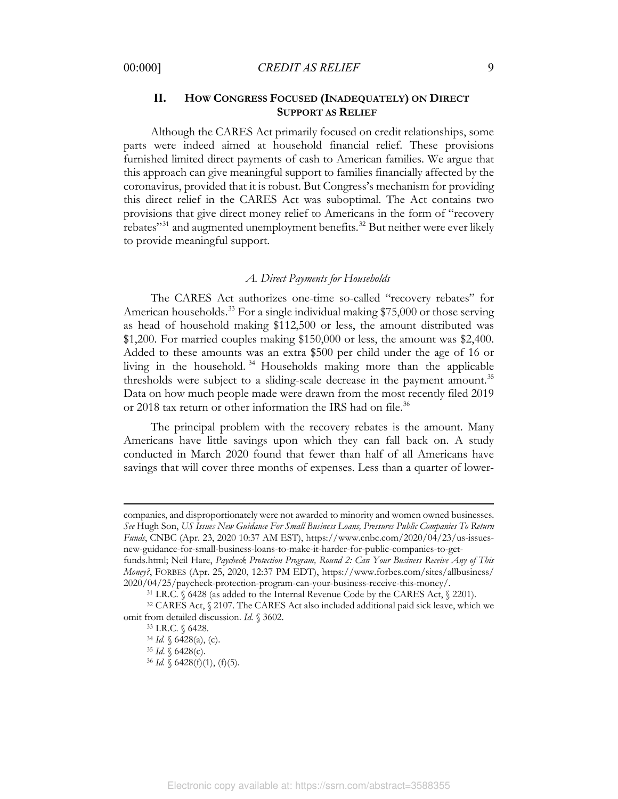# <span id="page-8-0"></span>**II. HOW CONGRESS FOCUSED (INADEQUATELY) ON DIRECT SUPPORT AS RELIEF**

Although the CARES Act primarily focused on credit relationships, some parts were indeed aimed at household financial relief. These provisions furnished limited direct payments of cash to American families. We argue that this approach can give meaningful support to families financially affected by the coronavirus, provided that it is robust. But Congress's mechanism for providing this direct relief in the CARES Act was suboptimal. The Act contains two provisions that give direct money relief to Americans in the form of "recovery rebates"<sup>[31](#page-8-2)</sup> and augmented unemployment benefits.<sup>[32](#page-8-3)</sup> But neither were ever likely to provide meaningful support.

#### *A. Direct Payments for Households*

<span id="page-8-1"></span>The CARES Act authorizes one-time so-called "recovery rebates" for American households.<sup>[33](#page-8-4)</sup> For a single individual making \$75,000 or those serving as head of household making \$112,500 or less, the amount distributed was \$1,200. For married couples making \$150,000 or less, the amount was \$2,400. Added to these amounts was an extra \$500 per child under the age of 16 or living in the household. [34](#page-8-5) Households making more than the applicable thresholds were subject to a sliding-scale decrease in the payment amount.<sup>[35](#page-8-6)</sup> Data on how much people made were drawn from the most recently filed 2019 or 2018 tax return or other information the IRS had on file.<sup>[36](#page-8-7)</sup>

The principal problem with the recovery rebates is the amount. Many Americans have little savings upon which they can fall back on. A study conducted in March 2020 found that fewer than half of all Americans have savings that will cover three months of expenses. Less than a quarter of lower-

companies, and disproportionately were not awarded to minority and women owned businesses. *See* Hugh Son, *US Issues New Guidance For Small Business Loans, Pressures Public Companies To Return Funds*, CNBC (Apr. 23, 2020 10:37 AM EST), https://www.cnbc.com/2020/04/23/us-issuesnew-guidance-for-small-business-loans-to-make-it-harder-for-public-companies-to-get-

funds.html; Neil Hare, *Paycheck Protection Program, Round 2: Can Your Business Receive Any of This Money?*, FORBES (Apr. 25, 2020, 12:37 PM EDT), https://www.forbes.com/sites/allbusiness/ 2020/04/25/paycheck-protection-program-can-your-business-receive-this-money/.

<sup>31</sup> I.R.C. § 6428 (as added to the Internal Revenue Code by the CARES Act, § 2201).

<span id="page-8-7"></span><span id="page-8-6"></span><span id="page-8-5"></span><span id="page-8-4"></span><span id="page-8-3"></span><span id="page-8-2"></span><sup>32</sup> CARES Act, § 2107. The CARES Act also included additional paid sick leave, which we omit from detailed discussion. *Id.* § 3602.

<sup>33</sup> I.R.C. § 6428.

<sup>34</sup> *Id.* § 6428(a), (c).

<sup>35</sup> *Id*. § 6428(c).

<sup>36</sup> *Id.* § 6428(f)(1), (f)(5).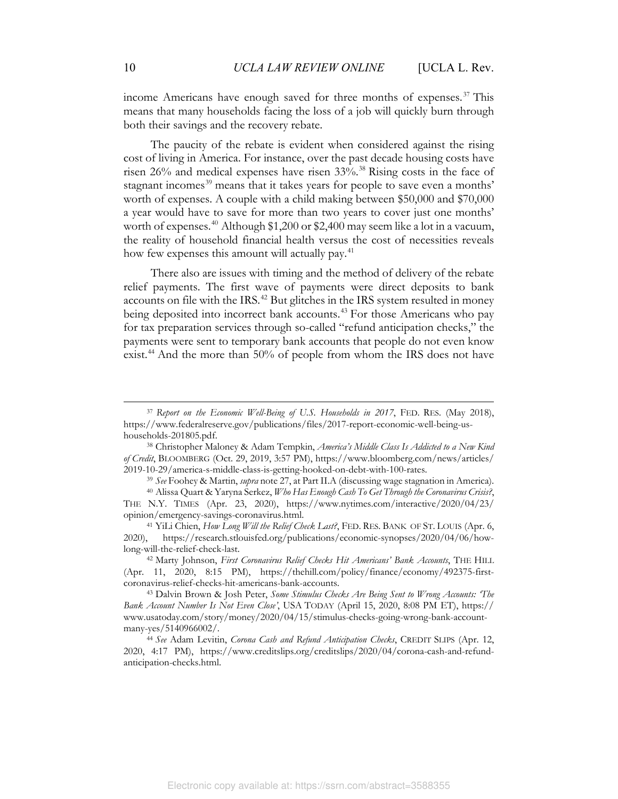income Americans have enough saved for three months of expenses.<sup>[37](#page-9-0)</sup> This means that many households facing the loss of a job will quickly burn through both their savings and the recovery rebate.

The paucity of the rebate is evident when considered against the rising cost of living in America. For instance, over the past decade housing costs have risen 26% and medical expenses have risen 33%.[38](#page-9-1) Rising costs in the face of stagnant incomes<sup>[39](#page-9-2)</sup> means that it takes years for people to save even a months' worth of expenses. A couple with a child making between \$50,000 and \$70,000 a year would have to save for more than two years to cover just one months' worth of expenses.<sup>[40](#page-9-3)</sup> Although \$1,200 or \$2,400 may seem like a lot in a vacuum, the reality of household financial health versus the cost of necessities reveals how few expenses this amount will actually pay.<sup>[41](#page-9-4)</sup>

<span id="page-9-8"></span>There also are issues with timing and the method of delivery of the rebate relief payments. The first wave of payments were direct deposits to bank accounts on file with the IRS.<sup>[42](#page-9-5)</sup> But glitches in the IRS system resulted in money being deposited into incorrect bank accounts.<sup>[43](#page-9-6)</sup> For those Americans who pay for tax preparation services through so-called "refund anticipation checks," the payments were sent to temporary bank accounts that people do not even know exist.<sup>[44](#page-9-7)</sup> And the more than 50% of people from whom the IRS does not have

<span id="page-9-9"></span><span id="page-9-0"></span><sup>37</sup> *Report on the Economic Well-Being of U.S. Households in 2017*, FED. RES. (May 2018), https://www.federalreserve.gov/publications/files/2017-report-economic-well-being-ushouseholds-201805.pdf.

<span id="page-9-1"></span><sup>38</sup> Christopher Maloney & Adam Tempkin, *America's Middle Class Is Addicted to a New Kind of Credit*, BLOOMBERG (Oct. 29, 2019, 3:57 PM), https://www.bloomberg.com/news/articles/ 2019-10-29/america-s-middle-class-is-getting-hooked-on-debt-with-100-rates.

<sup>39</sup> *See* Foohey & Martin, *supra* not[e 27,](#page-7-5) at Part II.A (discussing wage stagnation in America).

<span id="page-9-3"></span><span id="page-9-2"></span><sup>40</sup> Alissa Quart & Yaryna Serkez, *Who Has Enough Cash To Get Through the Coronavirus Crisis?*, THE N.Y. TIMES (Apr. 23, 2020), https://www.nytimes.com/interactive/2020/04/23/ opinion/emergency-savings-coronavirus.html.

<span id="page-9-4"></span><sup>41</sup> YiLi Chien, *How Long Will the Relief Check Last?*, FED. RES. BANK OF ST. LOUIS (Apr. 6, 2020), https://research.stlouisfed.org/publications/economic-synopses/2020/04/06/howlong-will-the-relief-check-last.

<span id="page-9-5"></span><sup>42</sup> Marty Johnson, *First Coronavirus Relief Checks Hit Americans' Bank Accounts*, THE HILL (Apr. 11, 2020, 8:15 PM), https://thehill.com/policy/finance/economy/492375-firstcoronavirus-relief-checks-hit-americans-bank-accounts.

<span id="page-9-6"></span><sup>43</sup> Dalvin Brown & Josh Peter, *Some Stimulus Checks Are Being Sent to Wrong Accounts: 'The Bank Account Number Is Not Even Close'*, USA TODAY (April 15, 2020, 8:08 PM ET), https:// www.usatoday.com/story/money/2020/04/15/stimulus-checks-going-wrong-bank-accountmany-yes/5140966002/.

<span id="page-9-7"></span><sup>44</sup> *See* Adam Levitin, *Corona Cash and Refund Anticipation Checks*, CREDIT SLIPS (Apr. 12, 2020, 4:17 PM), https://www.creditslips.org/creditslips/2020/04/corona-cash-and-refundanticipation-checks.html.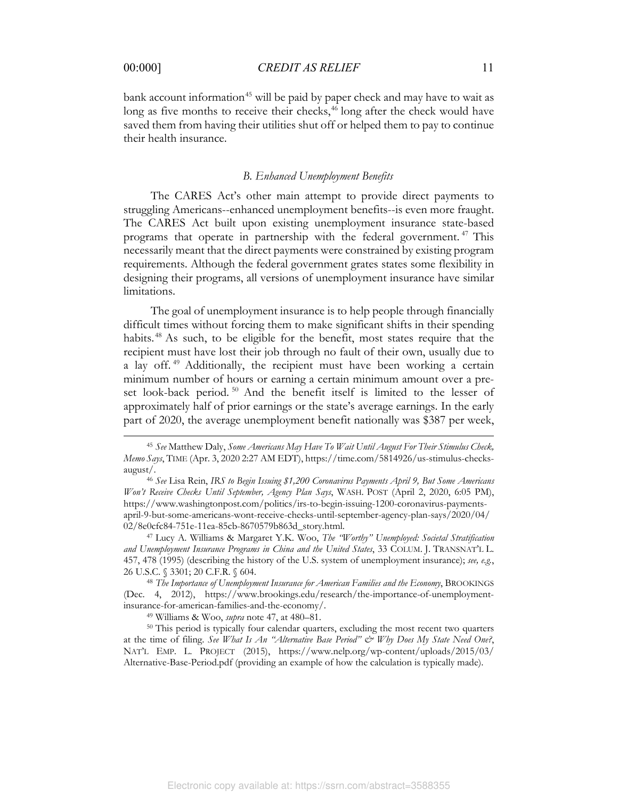<span id="page-10-8"></span><span id="page-10-1"></span>

bank account information<sup>[45](#page-10-2)</sup> will be paid by paper check and may have to wait as long as five months to receive their checks,<sup>[46](#page-10-3)</sup> long after the check would have saved them from having their utilities shut off or helped them to pay to continue their health insurance.

## *B. Enhanced Unemployment Benefits*

<span id="page-10-0"></span>The CARES Act's other main attempt to provide direct payments to struggling Americans--enhanced unemployment benefits--is even more fraught. The CARES Act built upon existing unemployment insurance state-based programs that operate in partnership with the federal government.<sup>[47](#page-10-4)</sup> This necessarily meant that the direct payments were constrained by existing program requirements. Although the federal government grates states some flexibility in designing their programs, all versions of unemployment insurance have similar limitations.

The goal of unemployment insurance is to help people through financially difficult times without forcing them to make significant shifts in their spending habits.<sup>[48](#page-10-5)</sup> As such, to be eligible for the benefit, most states require that the recipient must have lost their job through no fault of their own, usually due to a lay off.<sup>[49](#page-10-6)</sup> Additionally, the recipient must have been working a certain minimum number of hours or earning a certain minimum amount over a pre-set look-back period.<sup>[50](#page-10-7)</sup> And the benefit itself is limited to the lesser of approximately half of prior earnings or the state's average earnings. In the early part of 2020, the average unemployment benefit nationally was \$387 per week,

<span id="page-10-2"></span><sup>45</sup> *See* Matthew Daly, *Some Americans May Have To Wait Until August For Their Stimulus Check, Memo Says*, TIME (Apr. 3, 2020 2:27 AM EDT), https://time.com/5814926/us-stimulus-checksaugust/.

<span id="page-10-3"></span><sup>46</sup> *See* Lisa Rein, *IRS to Begin Issuing \$1,200 Coronavirus Payments April 9, But Some Americans Won't Receive Checks Until September, Agency Plan Says*, WASH. POST (April 2, 2020, 6:05 PM), https://www.washingtonpost.com/politics/irs-to-begin-issuing-1200-coronavirus-paymentsapril-9-but-some-americans-wont-receive-checks-until-september-agency-plan-says/2020/04/ 02/8e0cfc84-751e-11ea-85cb-8670579b863d\_story.html.

<span id="page-10-4"></span><sup>47</sup> Lucy A. Williams & Margaret Y.K. Woo, *The "Worthy" Unemployed: Societal Stratification and Unemployment Insurance Programs in China and the United States*, 33 COLUM. J. TRANSNAT'L L. 457, 478 (1995) (describing the history of the U.S. system of unemployment insurance); *see, e.g.*, 26 U.S.C. § 3301; 20 C.F.R. § 604.

<span id="page-10-5"></span><sup>48</sup> *The Importance of Unemployment Insurance for American Families and the Economy*, BROOKINGS (Dec. 4, 2012), https://www.brookings.edu/research/the-importance-of-unemploymentinsurance-for-american-families-and-the-economy/.

<sup>49</sup> Williams & Woo, *supra* note [47,](#page-10-1) at 480–81.

<span id="page-10-7"></span><span id="page-10-6"></span><sup>50</sup> This period is typically four calendar quarters, excluding the most recent two quarters at the time of filing. *See What Is An "Alternative Base Period" & Why Does My State Need One?*, NAT'L EMP. L. PROJECT (2015), https://www.nelp.org/wp-content/uploads/2015/03/ Alternative-Base-Period.pdf (providing an example of how the calculation is typically made).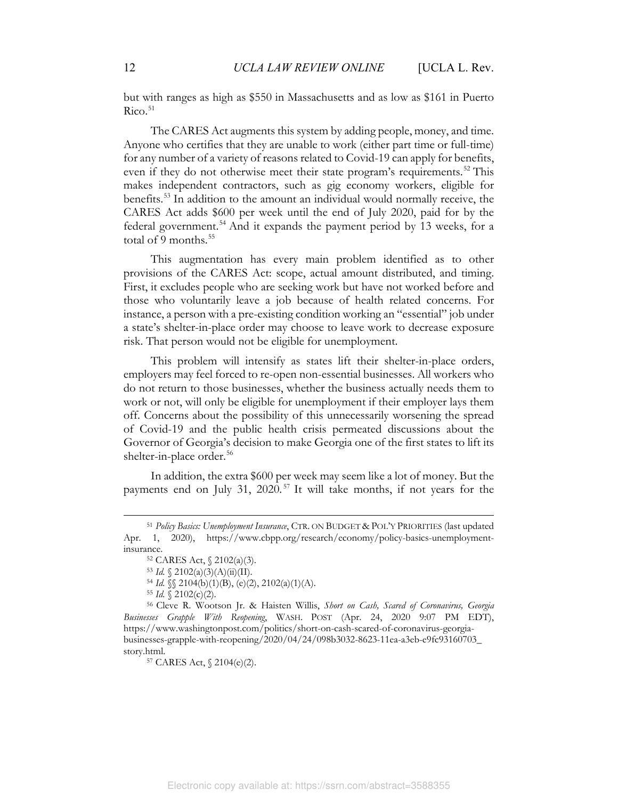but with ranges as high as \$550 in Massachusetts and as low as \$161 in Puerto  $Rico.<sup>51</sup>$  $Rico.<sup>51</sup>$  $Rico.<sup>51</sup>$ 

The CARES Act augments this system by adding people, money, and time. Anyone who certifies that they are unable to work (either part time or full-time) for any number of a variety of reasons related to Covid-19 can apply for benefits, even if they do not otherwise meet their state program's requirements.<sup>[52](#page-11-1)</sup> This makes independent contractors, such as gig economy workers, eligible for benefits.[53](#page-11-2) In addition to the amount an individual would normally receive, the CARES Act adds \$600 per week until the end of July 2020, paid for by the federal government.<sup>[54](#page-11-3)</sup> And it expands the payment period by 13 weeks, for a total of 9 months. $55$ 

This augmentation has every main problem identified as to other provisions of the CARES Act: scope, actual amount distributed, and timing. First, it excludes people who are seeking work but have not worked before and those who voluntarily leave a job because of health related concerns. For instance, a person with a pre-existing condition working an "essential" job under a state's shelter-in-place order may choose to leave work to decrease exposure risk. That person would not be eligible for unemployment.

This problem will intensify as states lift their shelter-in-place orders, employers may feel forced to re-open non-essential businesses. All workers who do not return to those businesses, whether the business actually needs them to work or not, will only be eligible for unemployment if their employer lays them off. Concerns about the possibility of this unnecessarily worsening the spread of Covid-19 and the public health crisis permeated discussions about the Governor of Georgia's decision to make Georgia one of the first states to lift its shelter-in-place order.<sup>[56](#page-11-5)</sup>

In addition, the extra \$600 per week may seem like a lot of money. But the payments end on July 31,  $2020$ .<sup>[57](#page-11-6)</sup> It will take months, if not years for the

<span id="page-11-1"></span><span id="page-11-0"></span><sup>51</sup> *Policy Basics: Unemployment Insurance*, CTR. ON BUDGET & POL'Y PRIORITIES (last updated Apr. 1, 2020), https://www.cbpp.org/research/economy/policy-basics-unemploymentinsurance.

<sup>52</sup> CARES Act, § 2102(a)(3).

<sup>53</sup> *Id.* § 2102(a)(3)(A)(ii)(II).

<sup>54</sup> *Id.* §§ 2104(b)(1)(B), (e)(2), 2102(a)(1)(A).

<sup>55</sup> *Id.* § 2102(c)(2).

<span id="page-11-6"></span><span id="page-11-5"></span><span id="page-11-4"></span><span id="page-11-3"></span><span id="page-11-2"></span><sup>56</sup> Cleve R. Wootson Jr. & Haisten Willis, *Short on Cash, Scared of Coronavirus, Georgia Businesses Grapple With Reopening*, WASH. POST (Apr. 24, 2020 9:07 PM EDT), https://www.washingtonpost.com/politics/short-on-cash-scared-of-coronavirus-georgiabusinesses-grapple-with-reopening/2020/04/24/098b3032-8623-11ea-a3eb-e9fc93160703\_ story.html.

<sup>57</sup> CARES Act, § 2104(e)(2).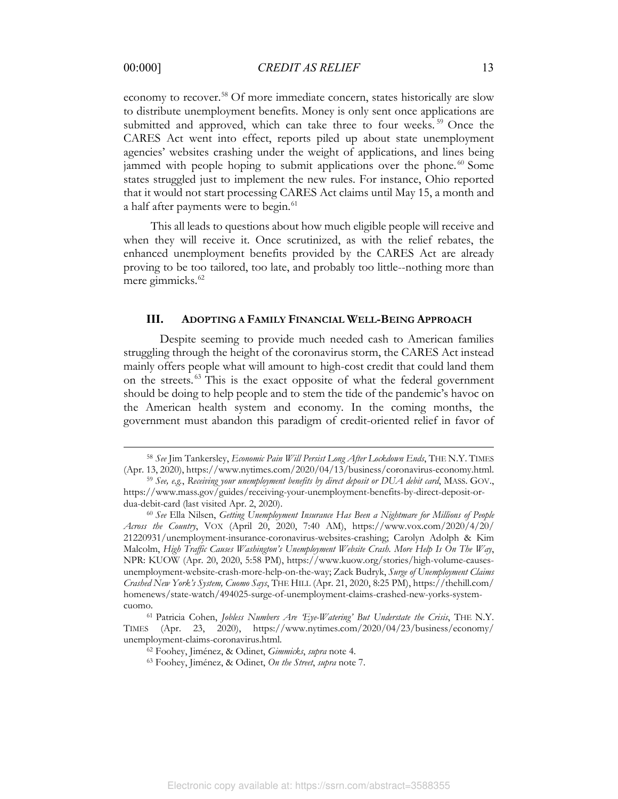economy to recover.<sup>[58](#page-12-1)</sup> Of more immediate concern, states historically are slow to distribute unemployment benefits. Money is only sent once applications are submitted and approved, which can take three to four weeks.<sup>[59](#page-12-2)</sup> Once the CARES Act went into effect, reports piled up about state unemployment agencies' websites crashing under the weight of applications, and lines being jammed with people hoping to submit applications over the phone.<sup>[60](#page-12-3)</sup> Some states struggled just to implement the new rules. For instance, Ohio reported that it would not start processing CARES Act claims until May 15, a month and a half after payments were to begin.<sup>[61](#page-12-4)</sup>

<span id="page-12-7"></span>This all leads to questions about how much eligible people will receive and when they will receive it. Once scrutinized, as with the relief rebates, the enhanced unemployment benefits provided by the CARES Act are already proving to be too tailored, too late, and probably too little--nothing more than mere gimmicks.<sup>[62](#page-12-5)</sup>

## <span id="page-12-0"></span>**III. ADOPTING A FAMILY FINANCIAL WELL-BEING APPROACH**

Despite seeming to provide much needed cash to American families struggling through the height of the coronavirus storm, the CARES Act instead mainly offers people what will amount to high-cost credit that could land them on the streets. [63](#page-12-6) This is the exact opposite of what the federal government should be doing to help people and to stem the tide of the pandemic's havoc on the American health system and economy. In the coming months, the government must abandon this paradigm of credit-oriented relief in favor of

<span id="page-12-1"></span><sup>58</sup> *See* Jim Tankersley, *Economic Pain Will Persist Long After Lockdown Ends*, THE N.Y. TIMES (Apr. 13, 2020), https://www.nytimes.com/2020/04/13/business/coronavirus-economy.html.

<span id="page-12-2"></span><sup>59</sup> *See, e.g.*, *Receiving your unemployment benefits by direct deposit or DUA debit card*, MASS. GOV., https://www.mass.gov/guides/receiving-your-unemployment-benefits-by-direct-deposit-ordua-debit-card (last visited Apr. 2, 2020).

<span id="page-12-3"></span><sup>60</sup> *See* Ella Nilsen, *Getting Unemployment Insurance Has Been a Nightmare for Millions of People Across the Country*, VOX (April 20, 2020, 7:40 AM), https://www.vox.com/2020/4/20/ 21220931/unemployment-insurance-coronavirus-websites-crashing; Carolyn Adolph & Kim Malcolm, *High Traffic Causes Washington's Unemployment Website Crash. More Help Is On The Way*, NPR: KUOW (Apr. 20, 2020, 5:58 PM), https://www.kuow.org/stories/high-volume-causesunemployment-website-crash-more-help-on-the-way; Zack Budryk, *Surge of Unemployment Claims Crashed New York's System, Cuomo Says*, THE HILL (Apr. 21, 2020, 8:25 PM), https://thehill.com/ homenews/state-watch/494025-surge-of-unemployment-claims-crashed-new-yorks-systemcuomo.

<span id="page-12-6"></span><span id="page-12-5"></span><span id="page-12-4"></span><sup>61</sup> Patricia Cohen, *Jobless Numbers Are 'Eye-Watering' But Understate the Crisis*, THE N.Y. TIMES (Apr. 23, 2020), https://www.nytimes.com/2020/04/23/business/economy/ unemployment-claims-coronavirus.html.

<sup>62</sup> Foohey, Jiménez, & Odinet, *Gimmicks*, *supra* note [4.](#page-1-4) 

<sup>63</sup> Foohey, Jiménez, & Odinet, *On the Street*, *supra* note [7.](#page-2-8)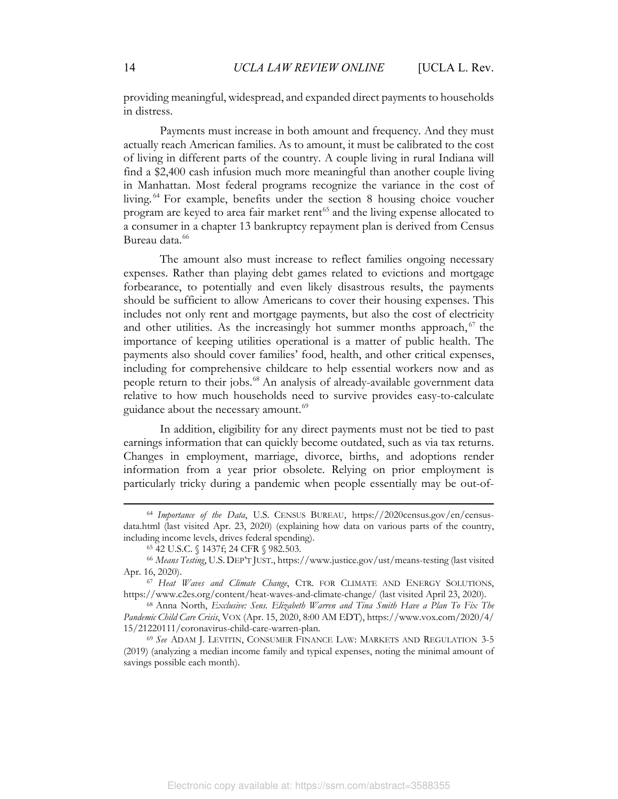providing meaningful, widespread, and expanded direct payments to households in distress.

Payments must increase in both amount and frequency. And they must actually reach American families. As to amount, it must be calibrated to the cost of living in different parts of the country. A couple living in rural Indiana will find a \$2,400 cash infusion much more meaningful than another couple living in Manhattan. Most federal programs recognize the variance in the cost of living. [64](#page-13-0) For example, benefits under the section 8 housing choice voucher program are keyed to area fair market rent<sup>[65](#page-13-1)</sup> and the living expense allocated to a consumer in a chapter 13 bankruptcy repayment plan is derived from Census Bureau data.<sup>[66](#page-13-2)</sup>

The amount also must increase to reflect families ongoing necessary expenses. Rather than playing debt games related to evictions and mortgage forbearance, to potentially and even likely disastrous results, the payments should be sufficient to allow Americans to cover their housing expenses. This includes not only rent and mortgage payments, but also the cost of electricity and other utilities. As the increasingly hot summer months approach,  $\sigma$  the importance of keeping utilities operational is a matter of public health. The payments also should cover families' food, health, and other critical expenses, including for comprehensive childcare to help essential workers now and as people return to their jobs.<sup>[68](#page-13-4)</sup> An analysis of already-available government data relative to how much households need to survive provides easy-to-calculate guidance about the necessary amount.<sup>[69](#page-13-5)</sup>

In addition, eligibility for any direct payments must not be tied to past earnings information that can quickly become outdated, such as via tax returns. Changes in employment, marriage, divorce, births, and adoptions render information from a year prior obsolete. Relying on prior employment is particularly tricky during a pandemic when people essentially may be out-of-

<span id="page-13-0"></span><sup>64</sup> *Importance of the Data*, U.S. CENSUS BUREAU, https://2020census.gov/en/censusdata.html (last visited Apr. 23, 2020) (explaining how data on various parts of the country, including income levels, drives federal spending).

<sup>65</sup> 42 U.S.C. § 1437f; 24 CFR § 982.503.

<span id="page-13-2"></span><span id="page-13-1"></span><sup>66</sup> *Means Testing*, U.S. DEP'T JUST., https://www.justice.gov/ust/means-testing (last visited Apr. 16, 2020).

<span id="page-13-3"></span><sup>67</sup> *Heat Waves and Climate Change*, CTR. FOR CLIMATE AND ENERGY SOLUTIONS, https://www.c2es.org/content/heat-waves-and-climate-change/ (last visited April 23, 2020).

<span id="page-13-4"></span><sup>68</sup> Anna North, *Exclusive: Sens. Elizabeth Warren and Tina Smith Have a Plan To Fix The Pandemic Child Care Crisis*, VOX (Apr. 15, 2020, 8:00 AM EDT), https://www.vox.com/2020/4/ 15/21220111/coronavirus-child-care-warren-plan.

<span id="page-13-5"></span><sup>69</sup> *See* ADAM J. LEVITIN, CONSUMER FINANCE LAW: MARKETS AND REGULATION 3-5 (2019) (analyzing a median income family and typical expenses, noting the minimal amount of savings possible each month).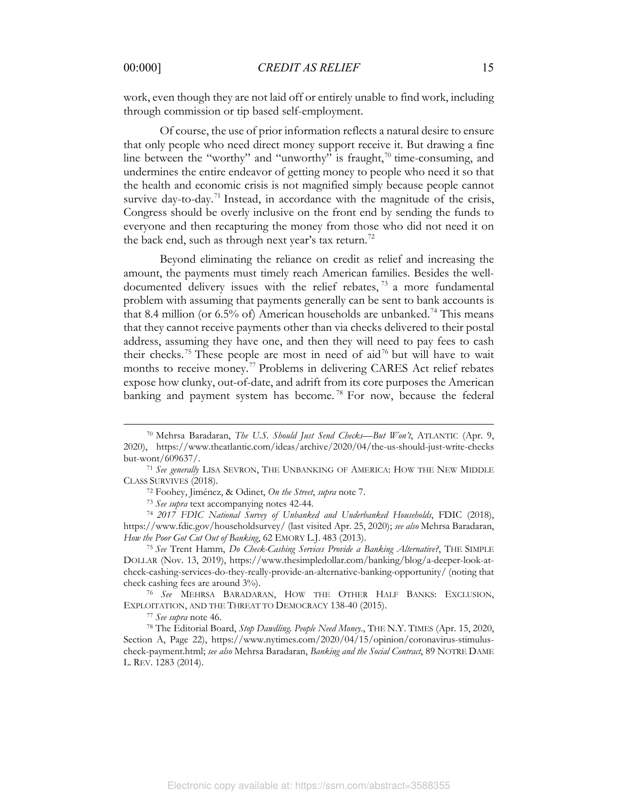work, even though they are not laid off or entirely unable to find work, including through commission or tip based self-employment.

Of course, the use of prior information reflects a natural desire to ensure that only people who need direct money support receive it. But drawing a fine line between the "worthy" and "unworthy" is fraught, $\frac{1}{10}$  time-consuming, and undermines the entire endeavor of getting money to people who need it so that the health and economic crisis is not magnified simply because people cannot survive day-to-day.<sup>[71](#page-14-1)</sup> Instead, in accordance with the magnitude of the crisis, Congress should be overly inclusive on the front end by sending the funds to everyone and then recapturing the money from those who did not need it on the back end, such as through next year's tax return.<sup>[72](#page-14-2)</sup>

Beyond eliminating the reliance on credit as relief and increasing the amount, the payments must timely reach American families. Besides the welldocumented delivery issues with the relief rebates,  $73$  a more fundamental problem with assuming that payments generally can be sent to bank accounts is that 8.4 million (or  $6.5\%$  of) American households are unbanked.<sup>[74](#page-14-4)</sup> This means that they cannot receive payments other than via checks delivered to their postal address, assuming they have one, and then they will need to pay fees to cash their checks.<sup>[75](#page-14-5)</sup> These people are most in need of aid<sup>[76](#page-14-6)</sup> but will have to wait months to receive money.<sup>[77](#page-14-7)</sup> Problems in delivering CARES Act relief rebates expose how clunky, out-of-date, and adrift from its core purposes the American banking and payment system has become. [78](#page-14-8) For now, because the federal

<span id="page-14-9"></span><span id="page-14-0"></span><sup>70</sup> Mehrsa Baradaran, *The U.S. Should Just Send Checks—But Won't*, ATLANTIC (Apr. 9, 2020), https://www.theatlantic.com/ideas/archive/2020/04/the-us-should-just-write-checks but-wont/609637/.

<span id="page-14-2"></span><span id="page-14-1"></span><sup>71</sup> *See generally* LISA SEVRON, THE UNBANKING OF AMERICA: HOW THE NEW MIDDLE CLASS SURVIVES (2018).

<sup>72</sup> Foohey, Jiménez, & Odinet, *On the Street*, *supra* note [7.](#page-2-8)

<sup>73</sup> *See supra* text accompanying note[s 42](#page-9-8)[-44.](#page-9-9) 

<span id="page-14-4"></span><span id="page-14-3"></span><sup>74</sup> *2017 FDIC National Survey of Unbanked and Underbanked Households*, FDIC (2018), https://www.fdic.gov/householdsurvey/ (last visited Apr. 25, 2020); *see also* Mehrsa Baradaran, *How the Poor Got Cut Out of Banking*, 62 EMORY L.J. 483 (2013).

<span id="page-14-5"></span><sup>75</sup> *See* Trent Hamm, *Do Check-Cashing Services Provide a Banking Alternative?*, THE SIMPLE DOLLAR (Nov. 13, 2019), https://www.thesimpledollar.com/banking/blog/a-deeper-look-atcheck-cashing-services-do-they-really-provide-an-alternative-banking-opportunity/ (noting that check cashing fees are around 3%).

<span id="page-14-6"></span><sup>76</sup> *See* MEHRSA BARADARAN, HOW THE OTHER HALF BANKS: EXCLUSION, EXPLOITATION, AND THE THREAT TO DEMOCRACY 138-40 (2015).

<sup>77</sup> *See supra* note [46.](#page-10-8) 

<span id="page-14-8"></span><span id="page-14-7"></span><sup>78</sup> The Editorial Board, *Stop Dawdling. People Need Money*., THE N.Y. TIMES (Apr. 15, 2020, Section A, Page 22), https://www.nytimes.com/2020/04/15/opinion/coronavirus-stimuluscheck-payment.html; *see also* Mehrsa Baradaran, *Banking and the Social Contract*, 89 NOTRE DAME L. REV. 1283 (2014).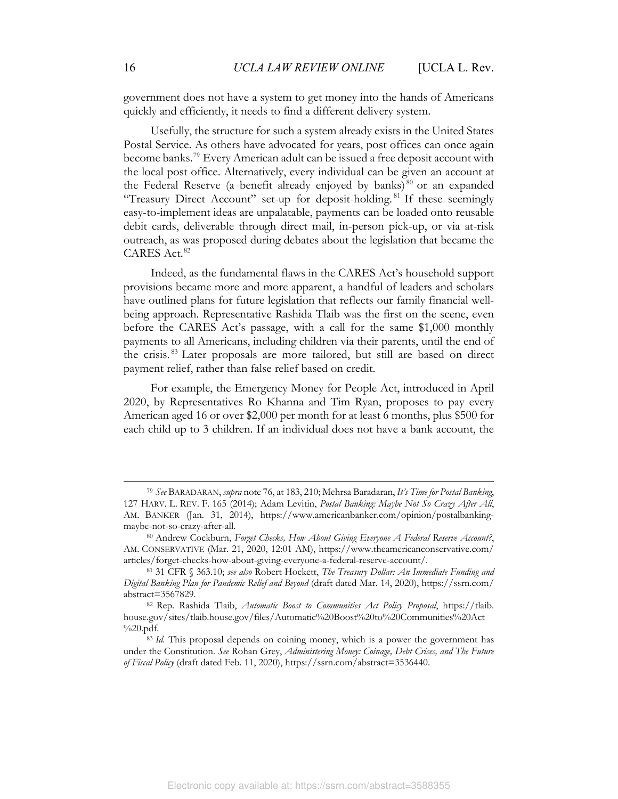government does not have a system to get money into the hands of Americans quickly and efficiently, it needs to find a different delivery system.

Usefully, the structure for such a system already exists in the United States Postal Service. As others have advocated for years, post offices can once again become banks.<sup>[79](#page-15-0)</sup> Every American adult can be issued a free deposit account with the local post office. Alternatively, every individual can be given an account at the Federal Reserve (a benefit already enjoyed by banks)<sup>[80](#page-15-1)</sup> or an expanded "Treasury Direct Account" set-up for deposit-holding. [81](#page-15-2) If these seemingly easy-to-implement ideas are unpalatable, payments can be loaded onto reusable debit cards, deliverable through direct mail, in-person pick-up, or via at-risk outreach, as was proposed during debates about the legislation that became the CARES Act.<sup>[82](#page-15-3)</sup>

Indeed, as the fundamental flaws in the CARES Act's household support provisions became more and more apparent, a handful of leaders and scholars have outlined plans for future legislation that reflects our family financial wellbeing approach. Representative Rashida Tlaib was the first on the scene, even before the CARES Act's passage, with a call for the same \$1,000 monthly payments to all Americans, including children via their parents, until the end of the crisis. [83](#page-15-4) Later proposals are more tailored, but still are based on direct payment relief, rather than false relief based on credit.

For example, the Emergency Money for People Act, introduced in April 2020, by Representatives Ro Khanna and Tim Ryan, proposes to pay every American aged 16 or over \$2,000 per month for at least 6 months, plus \$500 for each child up to 3 children. If an individual does not have a bank account, the

<span id="page-15-0"></span><sup>79</sup> *See* BARADARAN, *supra* not[e 76,](#page-14-9) at 183, 210; Mehrsa Baradaran, *It's Time for Postal Banking*, 127 HARV. L. REV. F. 165 (2014); Adam Levitin, *Postal Banking: Maybe Not So Crazy After All*, AM. BANKER (Jan. 31, 2014), https://www.americanbanker.com/opinion/postalbankingmaybe-not-so-crazy-after-all.

<span id="page-15-1"></span><sup>80</sup> Andrew Cockburn, *Forget Checks, How About Giving Everyone A Federal Reserve Account?*, AM. CONSERVATIVE (Mar. 21, 2020, 12:01 AM), https://www.theamericanconservative.com/ articles/forget-checks-how-about-giving-everyone-a-federal-reserve-account/.

<span id="page-15-2"></span><sup>81</sup> 31 CFR § 363.10; *see also* Robert Hockett, *The Treasury Dollar: An Immediate Funding and Digital Banking Plan for Pandemic Relief and Beyond* (draft dated Mar. 14, 2020), https://ssrn.com/ abstract=3567829.

<span id="page-15-3"></span><sup>82</sup> Rep. Rashida Tlaib, *Automatic Boost to Communities Act Policy Proposal*, https://tlaib. house.gov/sites/tlaib.house.gov/files/Automatic%20Boost%20to%20Communities%20Act %20.pdf*.* 

<span id="page-15-4"></span><sup>83</sup> *Id.* This proposal depends on coining money, which is a power the government has under the Constitution. *See* Rohan Grey, *Administering Money: Coinage, Debt Crises, and The Future of Fiscal Policy* (draft dated Feb. 11, 2020), https://ssrn.com/abstract=3536440.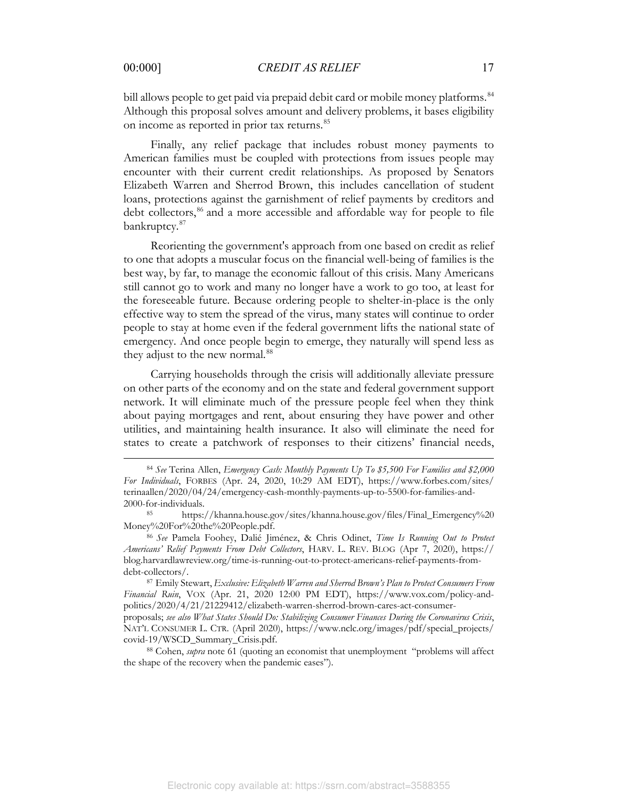bill allows people to get paid via prepaid debit card or mobile money platforms.<sup>[84](#page-16-0)</sup> Although this proposal solves amount and delivery problems, it bases eligibility on income as reported in prior tax returns.<sup>[85](#page-16-1)</sup>

Finally, any relief package that includes robust money payments to American families must be coupled with protections from issues people may encounter with their current credit relationships. As proposed by Senators Elizabeth Warren and Sherrod Brown, this includes cancellation of student loans, protections against the garnishment of relief payments by creditors and debt collectors,<sup>[86](#page-16-2)</sup> and a more accessible and affordable way for people to file bankruptcy.<sup>[87](#page-16-3)</sup>

Reorienting the government's approach from one based on credit as relief to one that adopts a muscular focus on the financial well-being of families is the best way, by far, to manage the economic fallout of this crisis. Many Americans still cannot go to work and many no longer have a work to go too, at least for the foreseeable future. Because ordering people to shelter-in-place is the only effective way to stem the spread of the virus, many states will continue to order people to stay at home even if the federal government lifts the national state of emergency. And once people begin to emerge, they naturally will spend less as they adjust to the new normal.<sup>[88](#page-16-4)</sup>

Carrying households through the crisis will additionally alleviate pressure on other parts of the economy and on the state and federal government support network. It will eliminate much of the pressure people feel when they think about paying mortgages and rent, about ensuring they have power and other utilities, and maintaining health insurance. It also will eliminate the need for states to create a patchwork of responses to their citizens' financial needs,

<span id="page-16-4"></span><sup>88</sup> Cohen, *supra* note [61](#page-12-7) (quoting an economist that unemployment "problems will affect the shape of the recovery when the pandemic eases").

<span id="page-16-0"></span><sup>84</sup> *See* Terina Allen, *Emergency Cash: Monthly Payments Up To \$5,500 For Families and \$2,000 For Individuals*, FORBES (Apr. 24, 2020, 10:29 AM EDT), https://www.forbes.com/sites/ terinaallen/2020/04/24/emergency-cash-monthly-payments-up-to-5500-for-families-and- $2000\text{-}$  for-individuals.

<span id="page-16-1"></span><sup>85</sup> https://khanna.house.gov/sites/khanna.house.gov/files/Final\_Emergency%20 Money%20For%20the%20People.pdf.

<span id="page-16-2"></span><sup>86</sup> *See* Pamela Foohey, Dalié Jiménez, & Chris Odinet, *Time Is Running Out to Protect Americans' Relief Payments From Debt Collectors*, HARV. L. REV. BLOG (Apr 7, 2020), https:// blog.harvardlawreview.org/time-is-running-out-to-protect-americans-relief-payments-fromdebt-collectors/.

<span id="page-16-3"></span><sup>87</sup> Emily Stewart, *Exclusive: Elizabeth Warren and Sherrod Brown's Plan to Protect Consumers From Financial Ruin*, VOX (Apr. 21, 2020 12:00 PM EDT), https://www.vox.com/policy-andpolitics/2020/4/21/21229412/elizabeth-warren-sherrod-brown-cares-act-consumer-

proposals; *see also What States Should Do: Stabilizing Consumer Finances During the Coronavirus Crisis*, NAT'L CONSUMER L. CTR. (April 2020), https://www.nclc.org/images/pdf/special\_projects/ covid-19/WSCD\_Summary\_Crisis.pdf.